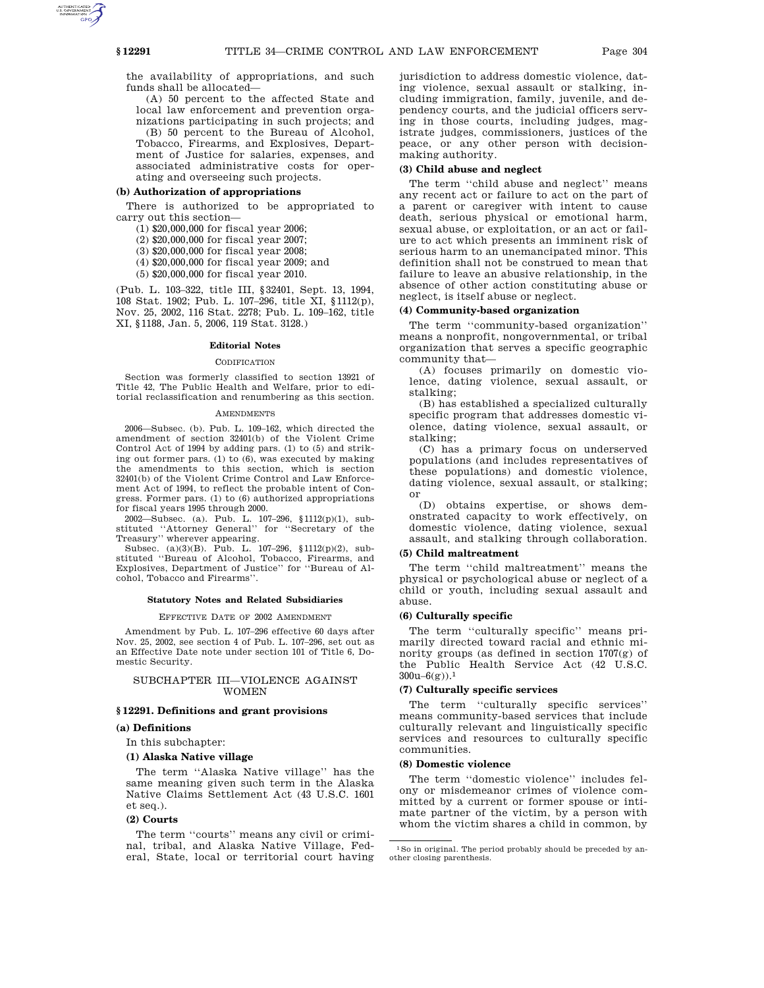the availability of appropriations, and such funds shall be allocated—

(A) 50 percent to the affected State and local law enforcement and prevention organizations participating in such projects; and

(B) 50 percent to the Bureau of Alcohol, Tobacco, Firearms, and Explosives, Department of Justice for salaries, expenses, and associated administrative costs for operating and overseeing such projects.

## **(b) Authorization of appropriations**

There is authorized to be appropriated to carry out this section—

(1) \$20,000,000 for fiscal year 2006;

(2) \$20,000,000 for fiscal year 2007;

(3) \$20,000,000 for fiscal year 2008;

(4) \$20,000,000 for fiscal year 2009; and

(5) \$20,000,000 for fiscal year 2010.

(Pub. L. 103–322, title III, §32401, Sept. 13, 1994, 108 Stat. 1902; Pub. L. 107–296, title XI, §1112(p), Nov. 25, 2002, 116 Stat. 2278; Pub. L. 109–162, title XI, §1188, Jan. 5, 2006, 119 Stat. 3128.)

#### **Editorial Notes**

#### CODIFICATION

Section was formerly classified to section 13921 of Title 42, The Public Health and Welfare, prior to editorial reclassification and renumbering as this section.

#### AMENDMENTS

2006—Subsec. (b). Pub. L. 109–162, which directed the amendment of section 32401(b) of the Violent Crime Control Act of 1994 by adding pars. (1) to (5) and striking out former pars. (1) to (6), was executed by making the amendments to this section, which is section 32401(b) of the Violent Crime Control and Law Enforcement Act of 1994, to reflect the probable intent of Congress. Former pars. (1) to (6) authorized appropriations for fiscal years 1995 through 2000.

2002—Subsec. (a). Pub. L. 107–296, §1112(p)(1), substituted ''Attorney General'' for ''Secretary of the Treasury'' wherever appearing.

Subsec. (a)(3)(B). Pub. L. 107–296, §1112(p)(2), substituted ''Bureau of Alcohol, Tobacco, Firearms, and Explosives, Department of Justice'' for ''Bureau of Alcohol, Tobacco and Firearms''.

#### **Statutory Notes and Related Subsidiaries**

EFFECTIVE DATE OF 2002 AMENDMENT

Amendment by Pub. L. 107–296 effective 60 days after Nov. 25, 2002, see section 4 of Pub. L. 107–296, set out as an Effective Date note under section 101 of Title 6, Domestic Security.

## SUBCHAPTER III—VIOLENCE AGAINST WOMEN

### **§ 12291. Definitions and grant provisions**

## **(a) Definitions**

In this subchapter:

#### **(1) Alaska Native village**

The term ''Alaska Native village'' has the same meaning given such term in the Alaska Native Claims Settlement Act (43 U.S.C. 1601 et seq.).

#### **(2) Courts**

The term ''courts'' means any civil or criminal, tribal, and Alaska Native Village, Federal, State, local or territorial court having

jurisdiction to address domestic violence, dating violence, sexual assault or stalking, including immigration, family, juvenile, and dependency courts, and the judicial officers serving in those courts, including judges, magistrate judges, commissioners, justices of the peace, or any other person with decisionmaking authority.

#### **(3) Child abuse and neglect**

The term ''child abuse and neglect'' means any recent act or failure to act on the part of a parent or caregiver with intent to cause death, serious physical or emotional harm, sexual abuse, or exploitation, or an act or failure to act which presents an imminent risk of serious harm to an unemancipated minor. This definition shall not be construed to mean that failure to leave an abusive relationship, in the absence of other action constituting abuse or neglect, is itself abuse or neglect.

#### **(4) Community-based organization**

The term "community-based organization" means a nonprofit, nongovernmental, or tribal organization that serves a specific geographic community that—

(A) focuses primarily on domestic violence, dating violence, sexual assault, or stalking;

(B) has established a specialized culturally specific program that addresses domestic violence, dating violence, sexual assault, or stalking;

(C) has a primary focus on underserved populations (and includes representatives of these populations) and domestic violence, dating violence, sexual assault, or stalking; or

(D) obtains expertise, or shows demonstrated capacity to work effectively, on domestic violence, dating violence, sexual assault, and stalking through collaboration.

#### **(5) Child maltreatment**

The term ''child maltreatment'' means the physical or psychological abuse or neglect of a child or youth, including sexual assault and abuse.

#### **(6) Culturally specific**

The term ''culturally specific'' means primarily directed toward racial and ethnic minority groups (as defined in section 1707(g) of the Public Health Service Act (42 U.S.C.  $300u-6(g)$ ).<sup>1</sup>

# **(7) Culturally specific services**

The term "culturally specific services" means community-based services that include culturally relevant and linguistically specific services and resources to culturally specific communities.

#### **(8) Domestic violence**

The term ''domestic violence'' includes felony or misdemeanor crimes of violence committed by a current or former spouse or intimate partner of the victim, by a person with whom the victim shares a child in common, by

 $^{\rm 1}\!$  So in original. The period probably should be preceded by another closing parenthesis.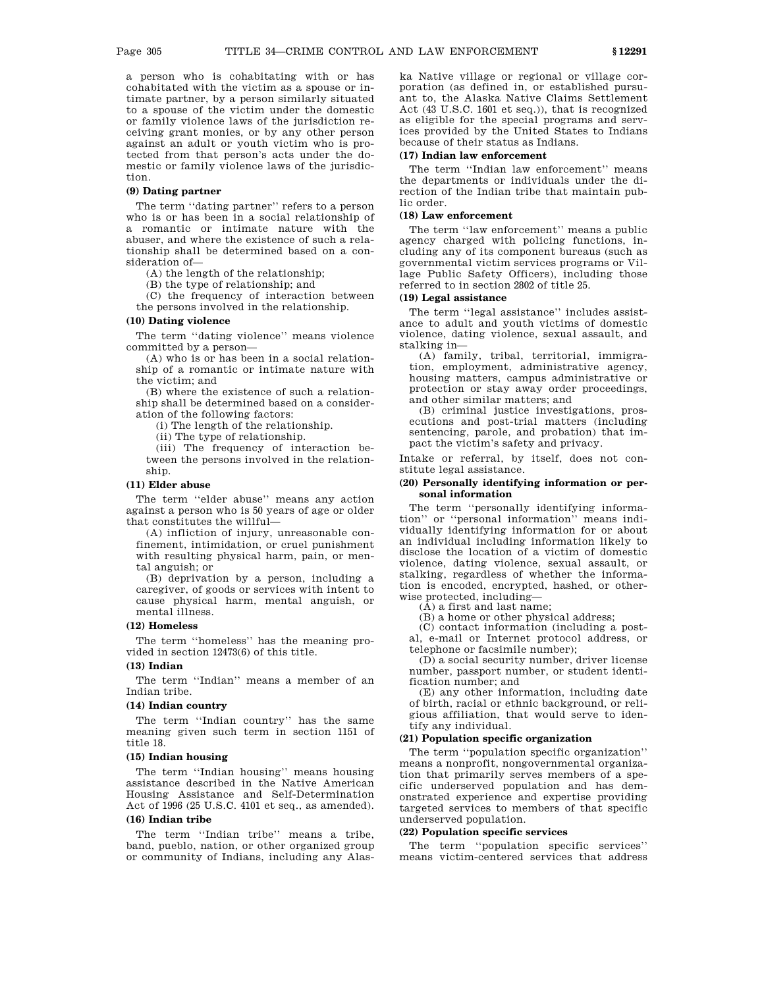a person who is cohabitating with or has cohabitated with the victim as a spouse or intimate partner, by a person similarly situated to a spouse of the victim under the domestic or family violence laws of the jurisdiction receiving grant monies, or by any other person against an adult or youth victim who is protected from that person's acts under the domestic or family violence laws of the jurisdiction.

## **(9) Dating partner**

The term ''dating partner'' refers to a person who is or has been in a social relationship of a romantic or intimate nature with the abuser, and where the existence of such a relationship shall be determined based on a consideration of—

(A) the length of the relationship;

(B) the type of relationship; and

(C) the frequency of interaction between

the persons involved in the relationship.

## **(10) Dating violence**

The term ''dating violence'' means violence committed by a person—

(A) who is or has been in a social relationship of a romantic or intimate nature with the victim; and

(B) where the existence of such a relationship shall be determined based on a consideration of the following factors:

(i) The length of the relationship.

(ii) The type of relationship.

(iii) The frequency of interaction between the persons involved in the relationship.

#### **(11) Elder abuse**

The term ''elder abuse'' means any action against a person who is 50 years of age or older that constitutes the willful—

(A) infliction of injury, unreasonable confinement, intimidation, or cruel punishment with resulting physical harm, pain, or mental anguish; or

(B) deprivation by a person, including a caregiver, of goods or services with intent to cause physical harm, mental anguish, or mental illness.

## **(12) Homeless**

The term ''homeless'' has the meaning provided in section 12473(6) of this title.

# **(13) Indian**

The term ''Indian'' means a member of an Indian tribe.

# **(14) Indian country**

The term ''Indian country'' has the same meaning given such term in section 1151 of title 18.

## **(15) Indian housing**

The term ''Indian housing'' means housing assistance described in the Native American Housing Assistance and Self-Determination Act of 1996 (25 U.S.C. 4101 et seq., as amended).

## **(16) Indian tribe**

The term ''Indian tribe'' means a tribe, band, pueblo, nation, or other organized group or community of Indians, including any Alaska Native village or regional or village corporation (as defined in, or established pursuant to, the Alaska Native Claims Settlement Act (43 U.S.C. 1601 et seq.)), that is recognized as eligible for the special programs and services provided by the United States to Indians because of their status as Indians.

# **(17) Indian law enforcement**

The term ''Indian law enforcement'' means the departments or individuals under the direction of the Indian tribe that maintain public order.

# **(18) Law enforcement**

The term ''law enforcement'' means a public agency charged with policing functions, including any of its component bureaus (such as governmental victim services programs or Village Public Safety Officers), including those referred to in section 2802 of title 25.

#### **(19) Legal assistance**

The term ''legal assistance'' includes assistance to adult and youth victims of domestic violence, dating violence, sexual assault, and stalking in—

(A) family, tribal, territorial, immigration, employment, administrative agency, housing matters, campus administrative or protection or stay away order proceedings, and other similar matters; and

(B) criminal justice investigations, prosecutions and post-trial matters (including sentencing, parole, and probation) that impact the victim's safety and privacy.

Intake or referral, by itself, does not constitute legal assistance.

#### **(20) Personally identifying information or personal information**

The term ''personally identifying information'' or ''personal information'' means individually identifying information for or about an individual including information likely to disclose the location of a victim of domestic violence, dating violence, sexual assault, or stalking, regardless of whether the information is encoded, encrypted, hashed, or otherwise protected, including—

(A) a first and last name;

(B) a home or other physical address;

(C) contact information (including a postal, e-mail or Internet protocol address, or

telephone or facsimile number); (D) a social security number, driver license number, passport number, or student identi-

fication number; and (E) any other information, including date of birth, racial or ethnic background, or religious affiliation, that would serve to identify any individual.

# **(21) Population specific organization**

The term ''population specific organization'' means a nonprofit, nongovernmental organization that primarily serves members of a specific underserved population and has demonstrated experience and expertise providing targeted services to members of that specific underserved population.

#### **(22) Population specific services**

The term ''population specific services'' means victim-centered services that address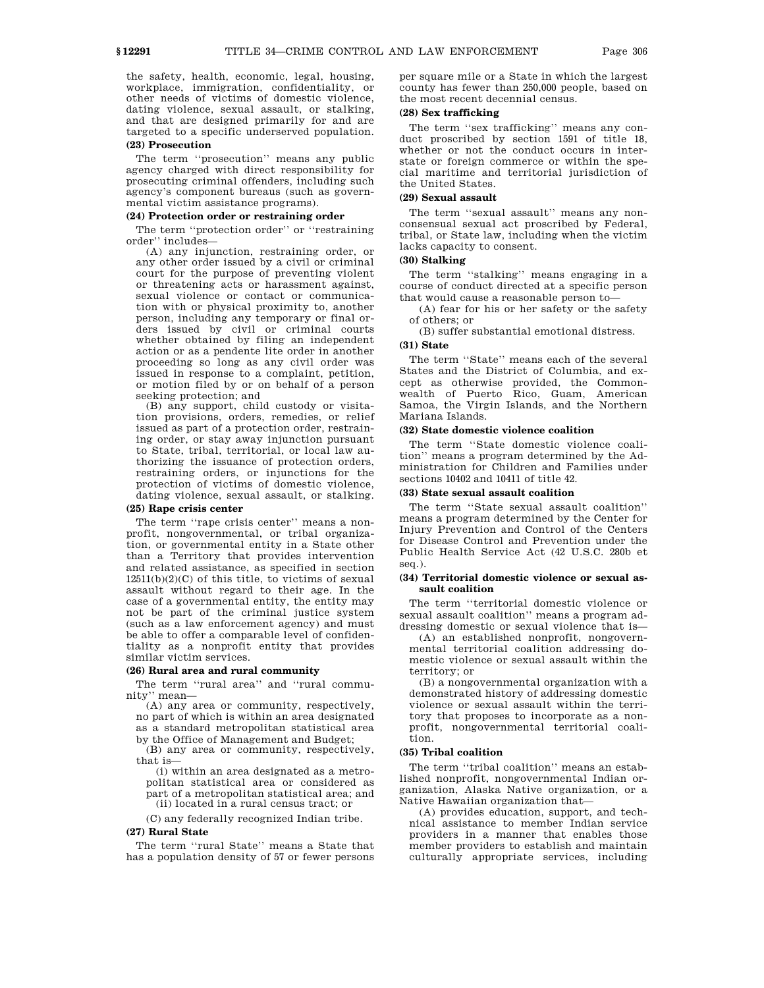the safety, health, economic, legal, housing, workplace, immigration, confidentiality, or other needs of victims of domestic violence, dating violence, sexual assault, or stalking, and that are designed primarily for and are targeted to a specific underserved population. **(23) Prosecution** 

The term ''prosecution'' means any public agency charged with direct responsibility for prosecuting criminal offenders, including such agency's component bureaus (such as governmental victim assistance programs).

#### **(24) Protection order or restraining order**

The term ''protection order'' or ''restraining order'' includes—

(A) any injunction, restraining order, or any other order issued by a civil or criminal court for the purpose of preventing violent or threatening acts or harassment against, sexual violence or contact or communication with or physical proximity to, another person, including any temporary or final orders issued by civil or criminal courts whether obtained by filing an independent action or as a pendente lite order in another proceeding so long as any civil order was issued in response to a complaint, petition, or motion filed by or on behalf of a person seeking protection; and

(B) any support, child custody or visitation provisions, orders, remedies, or relief issued as part of a protection order, restraining order, or stay away injunction pursuant to State, tribal, territorial, or local law authorizing the issuance of protection orders, restraining orders, or injunctions for the protection of victims of domestic violence, dating violence, sexual assault, or stalking.

#### **(25) Rape crisis center**

The term ''rape crisis center'' means a nonprofit, nongovernmental, or tribal organization, or governmental entity in a State other than a Territory that provides intervention and related assistance, as specified in section  $12511(b)(2)(C)$  of this title, to victims of sexual assault without regard to their age. In the case of a governmental entity, the entity may not be part of the criminal justice system (such as a law enforcement agency) and must be able to offer a comparable level of confidentiality as a nonprofit entity that provides similar victim services.

#### **(26) Rural area and rural community**

The term ''rural area'' and ''rural community'' mean—

(A) any area or community, respectively, no part of which is within an area designated as a standard metropolitan statistical area by the Office of Management and Budget;

(B) any area or community, respectively, that is—

(i) within an area designated as a metropolitan statistical area or considered as part of a metropolitan statistical area; and (ii) located in a rural census tract; or

(C) any federally recognized Indian tribe.

#### **(27) Rural State**

The term ''rural State'' means a State that has a population density of 57 or fewer persons

per square mile or a State in which the largest county has fewer than 250,000 people, based on the most recent decennial census.

## **(28) Sex trafficking**

The term ''sex trafficking'' means any conduct proscribed by section 1591 of title 18, whether or not the conduct occurs in interstate or foreign commerce or within the special maritime and territorial jurisdiction of the United States.

# **(29) Sexual assault**

The term ''sexual assault'' means any nonconsensual sexual act proscribed by Federal, tribal, or State law, including when the victim lacks capacity to consent.

# **(30) Stalking**

The term ''stalking'' means engaging in a course of conduct directed at a specific person that would cause a reasonable person to—

(A) fear for his or her safety or the safety of others; or

(B) suffer substantial emotional distress.

#### **(31) State**

The term ''State'' means each of the several States and the District of Columbia, and except as otherwise provided, the Commonwealth of Puerto Rico, Guam, American Samoa, the Virgin Islands, and the Northern Mariana Islands.

## **(32) State domestic violence coalition**

The term ''State domestic violence coalition'' means a program determined by the Administration for Children and Families under sections 10402 and 10411 of title 42.

# **(33) State sexual assault coalition**

The term ''State sexual assault coalition'' means a program determined by the Center for Injury Prevention and Control of the Centers for Disease Control and Prevention under the Public Health Service Act (42 U.S.C. 280b et seq.).

#### **(34) Territorial domestic violence or sexual assault coalition**

The term ''territorial domestic violence or sexual assault coalition'' means a program addressing domestic or sexual violence that is—

(A) an established nonprofit, nongovernmental territorial coalition addressing domestic violence or sexual assault within the territory; or

(B) a nongovernmental organization with a demonstrated history of addressing domestic violence or sexual assault within the territory that proposes to incorporate as a nonprofit, nongovernmental territorial coalition.

# **(35) Tribal coalition**

The term ''tribal coalition'' means an established nonprofit, nongovernmental Indian organization, Alaska Native organization, or a Native Hawaiian organization that—

(A) provides education, support, and technical assistance to member Indian service providers in a manner that enables those member providers to establish and maintain culturally appropriate services, including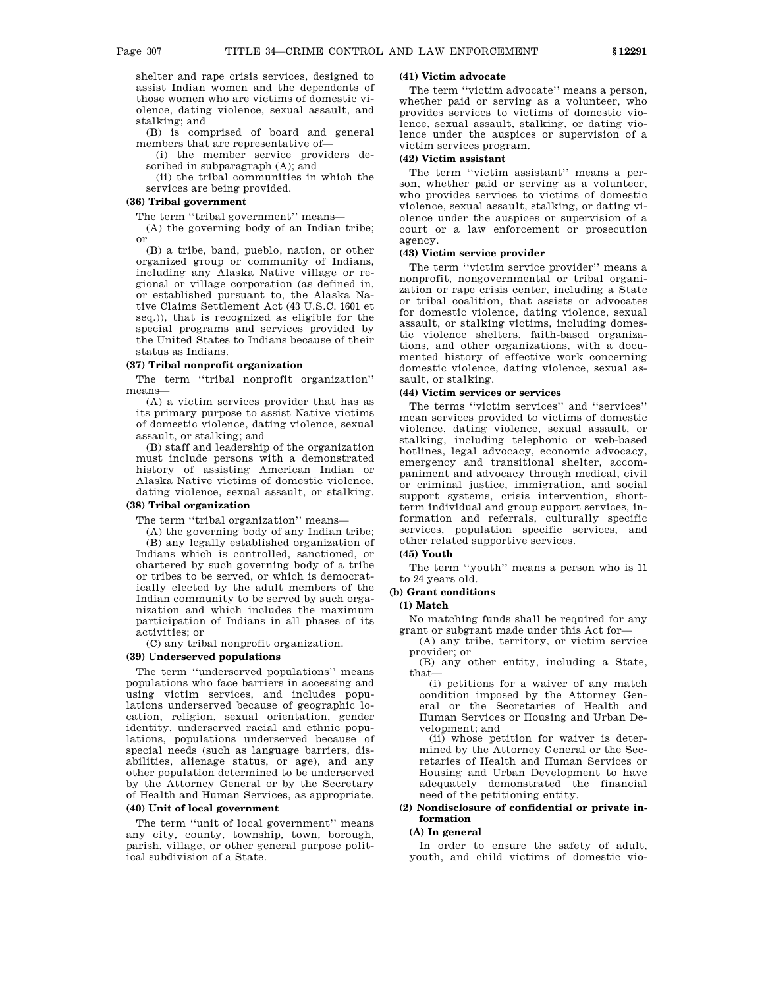shelter and rape crisis services, designed to assist Indian women and the dependents of those women who are victims of domestic violence, dating violence, sexual assault, and stalking; and

(B) is comprised of board and general members that are representative of—

(i) the member service providers described in subparagraph (A); and

(ii) the tribal communities in which the services are being provided.

# **(36) Tribal government**

The term ''tribal government'' means—

(A) the governing body of an Indian tribe; or

(B) a tribe, band, pueblo, nation, or other organized group or community of Indians, including any Alaska Native village or regional or village corporation (as defined in, or established pursuant to, the Alaska Native Claims Settlement Act (43 U.S.C. 1601 et seq.)), that is recognized as eligible for the special programs and services provided by the United States to Indians because of their status as Indians.

# **(37) Tribal nonprofit organization**

The term ''tribal nonprofit organization'' means—

(A) a victim services provider that has as its primary purpose to assist Native victims of domestic violence, dating violence, sexual assault, or stalking; and

(B) staff and leadership of the organization must include persons with a demonstrated history of assisting American Indian or Alaska Native victims of domestic violence, dating violence, sexual assault, or stalking.

#### **(38) Tribal organization**

The term ''tribal organization'' means—

(A) the governing body of any Indian tribe; (B) any legally established organization of Indians which is controlled, sanctioned, or chartered by such governing body of a tribe or tribes to be served, or which is democratically elected by the adult members of the Indian community to be served by such organization and which includes the maximum participation of Indians in all phases of its activities; or

(C) any tribal nonprofit organization.

#### **(39) Underserved populations**

The term ''underserved populations'' means populations who face barriers in accessing and using victim services, and includes populations underserved because of geographic location, religion, sexual orientation, gender identity, underserved racial and ethnic populations, populations underserved because of special needs (such as language barriers, disabilities, alienage status, or age), and any other population determined to be underserved by the Attorney General or by the Secretary of Health and Human Services, as appropriate.

## **(40) Unit of local government**

The term ''unit of local government'' means any city, county, township, town, borough, parish, village, or other general purpose political subdivision of a State.

#### **(41) Victim advocate**

The term ''victim advocate'' means a person, whether paid or serving as a volunteer, who provides services to victims of domestic violence, sexual assault, stalking, or dating violence under the auspices or supervision of a victim services program.

## **(42) Victim assistant**

The term "victim assistant" means a person, whether paid or serving as a volunteer, who provides services to victims of domestic violence, sexual assault, stalking, or dating violence under the auspices or supervision of a court or a law enforcement or prosecution agency.

# **(43) Victim service provider**

The term ''victim service provider'' means a nonprofit, nongovernmental or tribal organization or rape crisis center, including a State or tribal coalition, that assists or advocates for domestic violence, dating violence, sexual assault, or stalking victims, including domestic violence shelters, faith-based organizations, and other organizations, with a documented history of effective work concerning domestic violence, dating violence, sexual assault, or stalking.

# **(44) Victim services or services**

The terms ''victim services'' and ''services'' mean services provided to victims of domestic violence, dating violence, sexual assault, or stalking, including telephonic or web-based hotlines, legal advocacy, economic advocacy, emergency and transitional shelter, accompaniment and advocacy through medical, civil or criminal justice, immigration, and social support systems, crisis intervention, shortterm individual and group support services, information and referrals, culturally specific services, population specific services, and other related supportive services.

# **(45) Youth**

The term ''youth'' means a person who is 11 to 24 years old.

#### **(b) Grant conditions**

#### **(1) Match**

No matching funds shall be required for any grant or subgrant made under this Act for—

(A) any tribe, territory, or victim service provider; or

(B) any other entity, including a State, that—

(i) petitions for a waiver of any match condition imposed by the Attorney General or the Secretaries of Health and Human Services or Housing and Urban Development; and

(ii) whose petition for waiver is determined by the Attorney General or the Secretaries of Health and Human Services or Housing and Urban Development to have adequately demonstrated the financial need of the petitioning entity.

# **(2) Nondisclosure of confidential or private information**

# **(A) In general**

In order to ensure the safety of adult, youth, and child victims of domestic vio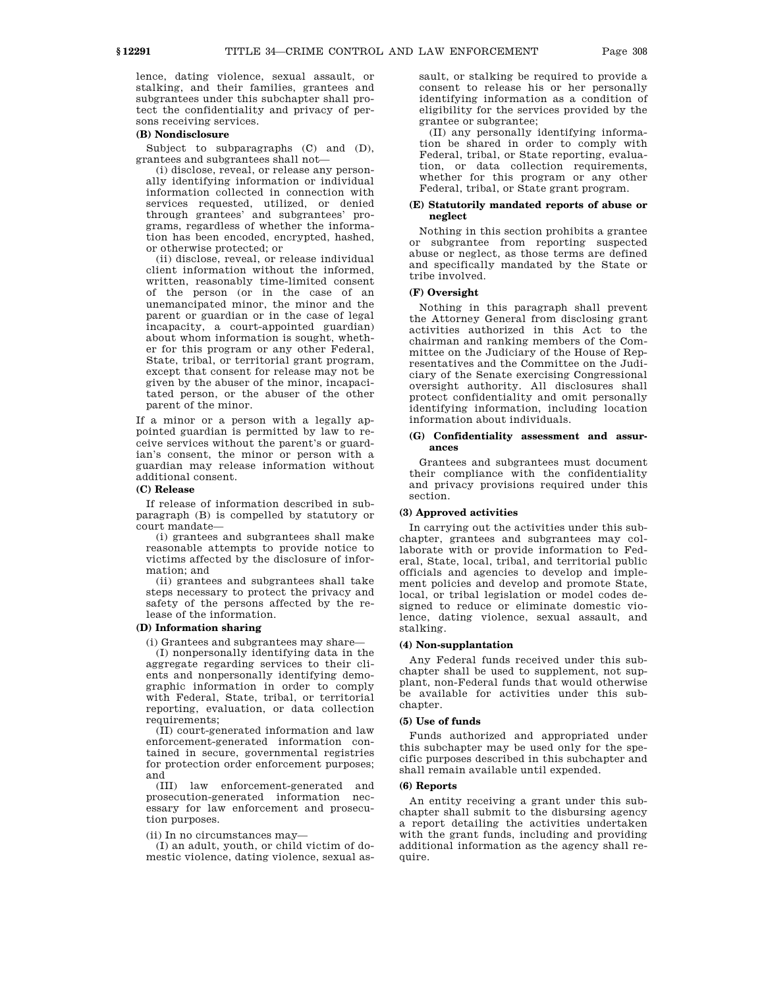lence, dating violence, sexual assault, or stalking, and their families, grantees and subgrantees under this subchapter shall protect the confidentiality and privacy of persons receiving services.

#### **(B) Nondisclosure**

Subject to subparagraphs (C) and (D), grantees and subgrantees shall not—

(i) disclose, reveal, or release any personally identifying information or individual information collected in connection with services requested, utilized, or denied through grantees' and subgrantees' programs, regardless of whether the information has been encoded, encrypted, hashed, or otherwise protected; or

(ii) disclose, reveal, or release individual client information without the informed, written, reasonably time-limited consent of the person (or in the case of an unemancipated minor, the minor and the parent or guardian or in the case of legal incapacity, a court-appointed guardian) about whom information is sought, whether for this program or any other Federal, State, tribal, or territorial grant program, except that consent for release may not be given by the abuser of the minor, incapacitated person, or the abuser of the other parent of the minor.

If a minor or a person with a legally appointed guardian is permitted by law to receive services without the parent's or guardian's consent, the minor or person with a guardian may release information without additional consent.

#### **(C) Release**

If release of information described in subparagraph (B) is compelled by statutory or court mandate—

(i) grantees and subgrantees shall make reasonable attempts to provide notice to victims affected by the disclosure of information; and

(ii) grantees and subgrantees shall take steps necessary to protect the privacy and safety of the persons affected by the release of the information.

#### **(D) Information sharing**

(i) Grantees and subgrantees may share—

(I) nonpersonally identifying data in the aggregate regarding services to their clients and nonpersonally identifying demographic information in order to comply with Federal, State, tribal, or territorial reporting, evaluation, or data collection requirements;

(II) court-generated information and law enforcement-generated information contained in secure, governmental registries for protection order enforcement purposes; and

(III) law enforcement-generated and prosecution-generated information necessary for law enforcement and prosecution purposes.

(ii) In no circumstances may—

(I) an adult, youth, or child victim of domestic violence, dating violence, sexual assault, or stalking be required to provide a consent to release his or her personally identifying information as a condition of eligibility for the services provided by the grantee or subgrantee;

(II) any personally identifying information be shared in order to comply with Federal, tribal, or State reporting, evaluation, or data collection requirements, whether for this program or any other Federal, tribal, or State grant program.

## **(E) Statutorily mandated reports of abuse or neglect**

Nothing in this section prohibits a grantee or subgrantee from reporting suspected abuse or neglect, as those terms are defined and specifically mandated by the State or tribe involved.

# **(F) Oversight**

Nothing in this paragraph shall prevent the Attorney General from disclosing grant activities authorized in this Act to the chairman and ranking members of the Committee on the Judiciary of the House of Representatives and the Committee on the Judiciary of the Senate exercising Congressional oversight authority. All disclosures shall protect confidentiality and omit personally identifying information, including location information about individuals.

# **(G) Confidentiality assessment and assurances**

Grantees and subgrantees must document their compliance with the confidentiality and privacy provisions required under this section.

#### **(3) Approved activities**

In carrying out the activities under this subchapter, grantees and subgrantees may collaborate with or provide information to Federal, State, local, tribal, and territorial public officials and agencies to develop and implement policies and develop and promote State, local, or tribal legislation or model codes designed to reduce or eliminate domestic violence, dating violence, sexual assault, and stalking.

# **(4) Non-supplantation**

Any Federal funds received under this subchapter shall be used to supplement, not supplant, non-Federal funds that would otherwise be available for activities under this subchapter.

# **(5) Use of funds**

Funds authorized and appropriated under this subchapter may be used only for the specific purposes described in this subchapter and shall remain available until expended.

#### **(6) Reports**

An entity receiving a grant under this subchapter shall submit to the disbursing agency a report detailing the activities undertaken with the grant funds, including and providing additional information as the agency shall require.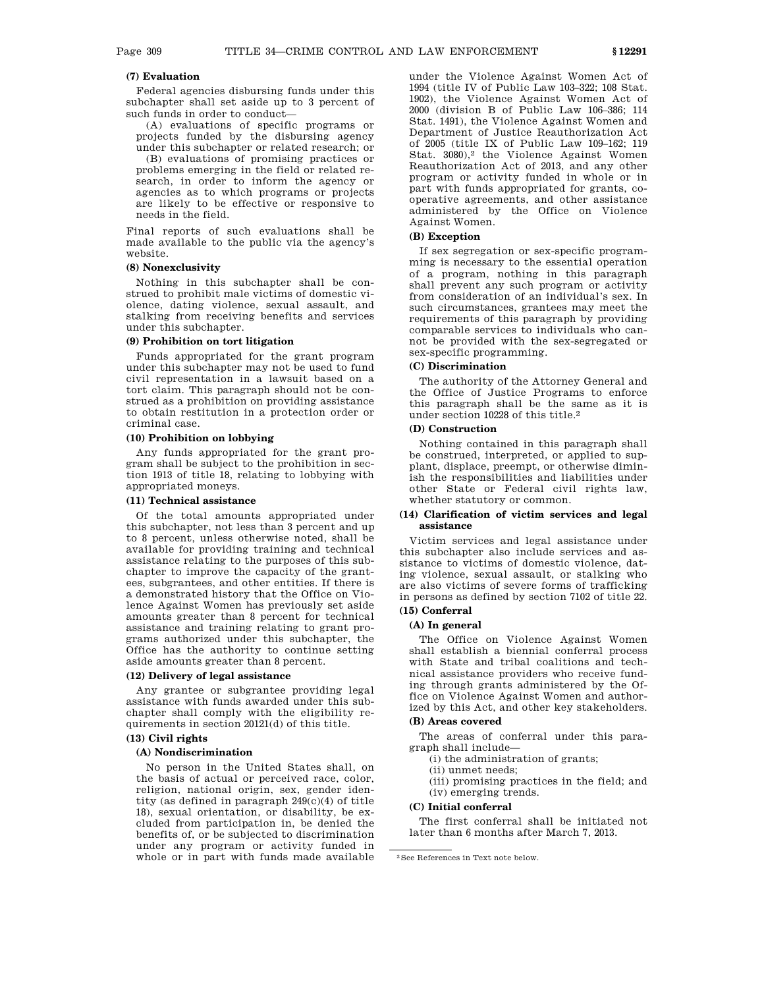# **(7) Evaluation**

Federal agencies disbursing funds under this subchapter shall set aside up to 3 percent of such funds in order to conduct—

(A) evaluations of specific programs or projects funded by the disbursing agency under this subchapter or related research; or

(B) evaluations of promising practices or problems emerging in the field or related research, in order to inform the agency or agencies as to which programs or projects are likely to be effective or responsive to needs in the field.

Final reports of such evaluations shall be made available to the public via the agency's website.

# **(8) Nonexclusivity**

Nothing in this subchapter shall be construed to prohibit male victims of domestic violence, dating violence, sexual assault, and stalking from receiving benefits and services under this subchapter.

# **(9) Prohibition on tort litigation**

Funds appropriated for the grant program under this subchapter may not be used to fund civil representation in a lawsuit based on a tort claim. This paragraph should not be construed as a prohibition on providing assistance to obtain restitution in a protection order or criminal case.

## **(10) Prohibition on lobbying**

Any funds appropriated for the grant program shall be subject to the prohibition in section 1913 of title 18, relating to lobbying with appropriated moneys.

## **(11) Technical assistance**

Of the total amounts appropriated under this subchapter, not less than 3 percent and up to 8 percent, unless otherwise noted, shall be available for providing training and technical assistance relating to the purposes of this subchapter to improve the capacity of the grantees, subgrantees, and other entities. If there is a demonstrated history that the Office on Violence Against Women has previously set aside amounts greater than 8 percent for technical assistance and training relating to grant programs authorized under this subchapter, the Office has the authority to continue setting aside amounts greater than 8 percent.

# **(12) Delivery of legal assistance**

Any grantee or subgrantee providing legal assistance with funds awarded under this subchapter shall comply with the eligibility requirements in section 20121(d) of this title.

#### **(13) Civil rights**

# **(A) Nondiscrimination**

No person in the United States shall, on the basis of actual or perceived race, color, religion, national origin, sex, gender identity (as defined in paragraph 249(c)(4) of title 18), sexual orientation, or disability, be excluded from participation in, be denied the benefits of, or be subjected to discrimination under any program or activity funded in whole or in part with funds made available under the Violence Against Women Act of 1994 (title IV of Public Law 103–322; 108 Stat. 1902), the Violence Against Women Act of 2000 (division B of Public Law 106–386; 114 Stat. 1491), the Violence Against Women and Department of Justice Reauthorization Act of 2005 (title IX of Public Law 109–162; 119 Stat. 3080),<sup>2</sup> the Violence Against Women Reauthorization Act of 2013, and any other program or activity funded in whole or in part with funds appropriated for grants, cooperative agreements, and other assistance administered by the Office on Violence Against Women.

#### **(B) Exception**

If sex segregation or sex-specific programming is necessary to the essential operation of a program, nothing in this paragraph shall prevent any such program or activity from consideration of an individual's sex. In such circumstances, grantees may meet the requirements of this paragraph by providing comparable services to individuals who cannot be provided with the sex-segregated or sex-specific programming.

#### **(C) Discrimination**

The authority of the Attorney General and the Office of Justice Programs to enforce this paragraph shall be the same as it is under section 10228 of this title.2

#### **(D) Construction**

Nothing contained in this paragraph shall be construed, interpreted, or applied to supplant, displace, preempt, or otherwise diminish the responsibilities and liabilities under other State or Federal civil rights law, whether statutory or common.

## **(14) Clarification of victim services and legal assistance**

Victim services and legal assistance under this subchapter also include services and assistance to victims of domestic violence, dating violence, sexual assault, or stalking who are also victims of severe forms of trafficking in persons as defined by section 7102 of title 22.

# **(15) Conferral**

## **(A) In general**

The Office on Violence Against Women shall establish a biennial conferral process with State and tribal coalitions and technical assistance providers who receive funding through grants administered by the Office on Violence Against Women and authorized by this Act, and other key stakeholders.

# **(B) Areas covered**

The areas of conferral under this paragraph shall include—

- (i) the administration of grants;
- (ii) unmet needs;

(iii) promising practices in the field; and (iv) emerging trends.

## **(C) Initial conferral**

The first conferral shall be initiated not later than 6 months after March 7, 2013.

<sup>2</sup>See References in Text note below.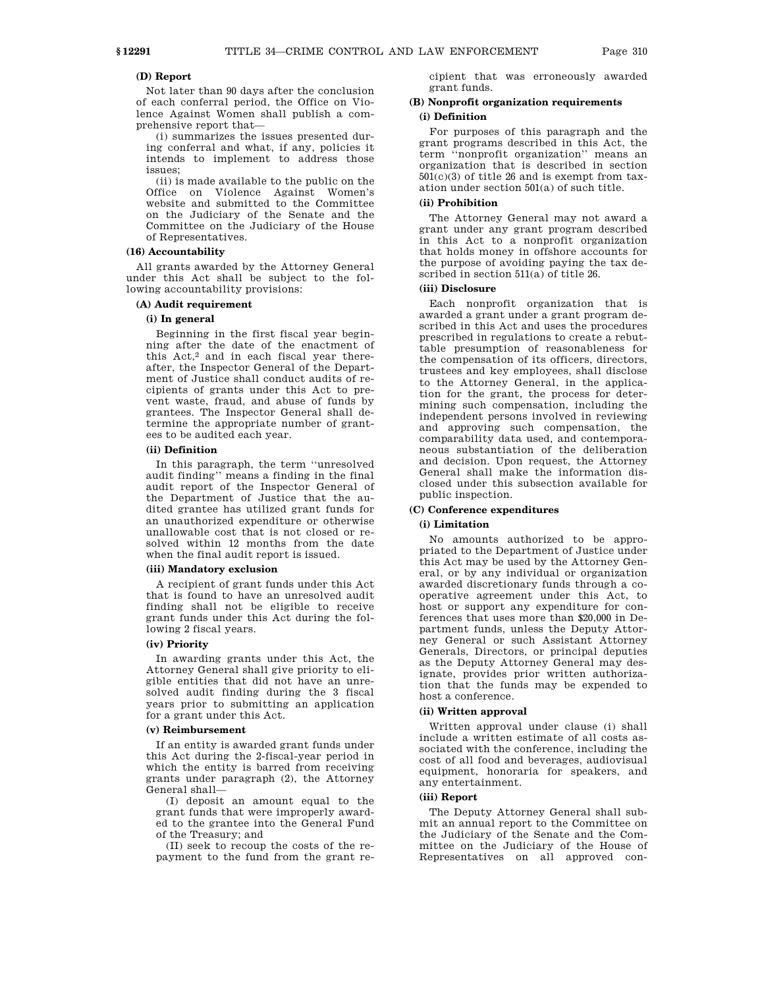# **(D) Report**

Not later than 90 days after the conclusion of each conferral period, the Office on Violence Against Women shall publish a comprehensive report that—

(i) summarizes the issues presented during conferral and what, if any, policies it intends to implement to address those issues;

(ii) is made available to the public on the Office on Violence Against Women's website and submitted to the Committee on the Judiciary of the Senate and the Committee on the Judiciary of the House of Representatives.

# **(16) Accountability**

All grants awarded by the Attorney General under this Act shall be subject to the following accountability provisions:

#### **(A) Audit requirement**

#### **(i) In general**

Beginning in the first fiscal year beginning after the date of the enactment of this Act,2 and in each fiscal year thereafter, the Inspector General of the Department of Justice shall conduct audits of recipients of grants under this Act to prevent waste, fraud, and abuse of funds by grantees. The Inspector General shall determine the appropriate number of grantees to be audited each year.

#### **(ii) Definition**

In this paragraph, the term ''unresolved audit finding'' means a finding in the final audit report of the Inspector General of the Department of Justice that the audited grantee has utilized grant funds for an unauthorized expenditure or otherwise unallowable cost that is not closed or resolved within 12 months from the date when the final audit report is issued.

# **(iii) Mandatory exclusion**

A recipient of grant funds under this Act that is found to have an unresolved audit finding shall not be eligible to receive grant funds under this Act during the following 2 fiscal years.

# **(iv) Priority**

In awarding grants under this Act, the Attorney General shall give priority to eligible entities that did not have an unresolved audit finding during the 3 fiscal years prior to submitting an application for a grant under this Act.

#### **(v) Reimbursement**

If an entity is awarded grant funds under this Act during the 2-fiscal-year period in which the entity is barred from receiving grants under paragraph (2), the Attorney General shall—

(I) deposit an amount equal to the grant funds that were improperly awarded to the grantee into the General Fund of the Treasury; and

(II) seek to recoup the costs of the repayment to the fund from the grant recipient that was erroneously awarded grant funds.

# **(B) Nonprofit organization requirements**

# **(i) Definition**

For purposes of this paragraph and the grant programs described in this Act, the term ''nonprofit organization'' means an organization that is described in section  $501(c)(3)$  of title 26 and is exempt from taxation under section 501(a) of such title.

# **(ii) Prohibition**

The Attorney General may not award a grant under any grant program described in this Act to a nonprofit organization that holds money in offshore accounts for the purpose of avoiding paying the tax described in section 511(a) of title 26.

# **(iii) Disclosure**

Each nonprofit organization that is awarded a grant under a grant program described in this Act and uses the procedures prescribed in regulations to create a rebuttable presumption of reasonableness for the compensation of its officers, directors, trustees and key employees, shall disclose to the Attorney General, in the application for the grant, the process for determining such compensation, including the independent persons involved in reviewing and approving such compensation, the comparability data used, and contemporaneous substantiation of the deliberation and decision. Upon request, the Attorney General shall make the information disclosed under this subsection available for public inspection.

#### **(C) Conference expenditures**

#### **(i) Limitation**

No amounts authorized to be appropriated to the Department of Justice under this Act may be used by the Attorney General, or by any individual or organization awarded discretionary funds through a cooperative agreement under this Act, to host or support any expenditure for conferences that uses more than \$20,000 in Department funds, unless the Deputy Attorney General or such Assistant Attorney Generals, Directors, or principal deputies as the Deputy Attorney General may designate, provides prior written authorization that the funds may be expended to host a conference.

### **(ii) Written approval**

Written approval under clause (i) shall include a written estimate of all costs associated with the conference, including the cost of all food and beverages, audiovisual equipment, honoraria for speakers, and any entertainment.

# **(iii) Report**

The Deputy Attorney General shall submit an annual report to the Committee on the Judiciary of the Senate and the Committee on the Judiciary of the House of Representatives on all approved con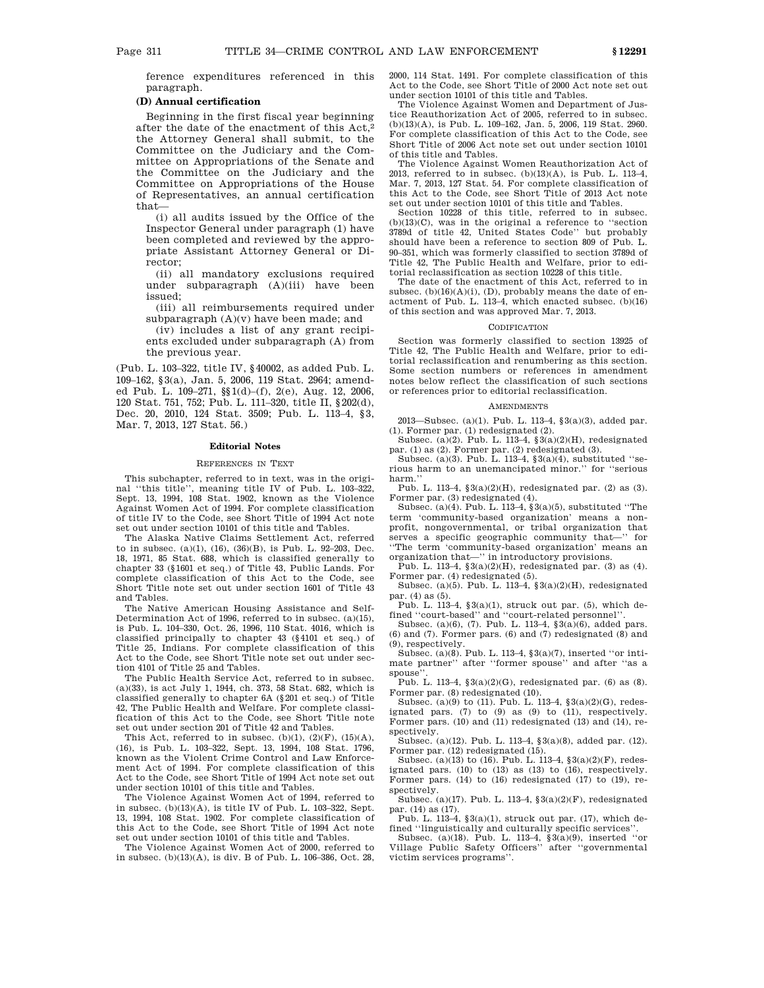ference expenditures referenced in this paragraph.

# **(D) Annual certification**

Beginning in the first fiscal year beginning after the date of the enactment of this Act,2 the Attorney General shall submit, to the Committee on the Judiciary and the Committee on Appropriations of the Senate and the Committee on the Judiciary and the Committee on Appropriations of the House of Representatives, an annual certification that—

(i) all audits issued by the Office of the Inspector General under paragraph (1) have been completed and reviewed by the appropriate Assistant Attorney General or Director;

(ii) all mandatory exclusions required under subparagraph (A)(iii) have been issued;

(iii) all reimbursements required under subparagraph  $(A)(v)$  have been made; and

(iv) includes a list of any grant recipients excluded under subparagraph (A) from the previous year.

(Pub. L. 103–322, title IV, §40002, as added Pub. L. 109–162, §3(a), Jan. 5, 2006, 119 Stat. 2964; amended Pub. L. 109–271, §§1(d)–(f), 2(e), Aug. 12, 2006, 120 Stat. 751, 752; Pub. L. 111–320, title II, §202(d), Dec. 20, 2010, 124 Stat. 3509; Pub. L. 113–4, §3, Mar. 7, 2013, 127 Stat. 56.)

#### **Editorial Notes**

#### REFERENCES IN TEXT

This subchapter, referred to in text, was in the original ''this title'', meaning title IV of Pub. L. 103–322, Sept. 13, 1994, 108 Stat. 1902, known as the Violence Against Women Act of 1994. For complete classification of title IV to the Code, see Short Title of 1994 Act note set out under section 10101 of this title and Tables.

The Alaska Native Claims Settlement Act, referred to in subsec. (a)(1), (16), (36)(B), is Pub. L. 92–203, Dec. 18, 1971, 85 Stat. 688, which is classified generally to chapter 33 (§1601 et seq.) of Title 43, Public Lands. For complete classification of this Act to the Code, see Short Title note set out under section 1601 of Title 43 and Tables.

The Native American Housing Assistance and Self-Determination Act of 1996, referred to in subsec. (a)(15), is Pub. L. 104–330, Oct. 26, 1996, 110 Stat. 4016, which is classified principally to chapter 43 (§4101 et seq.) of Title 25, Indians. For complete classification of this Act to the Code, see Short Title note set out under section 4101 of Title 25 and Tables.

The Public Health Service Act, referred to in subsec. (a)(33), is act July 1, 1944, ch. 373, 58 Stat. 682, which is classified generally to chapter 6A (§201 et seq.) of Title 42, The Public Health and Welfare. For complete classification of this Act to the Code, see Short Title note set out under section 201 of Title 42 and Tables.

This Act, referred to in subsec. (b)(1),  $(2)(F)$ ,  $(15)(A)$ , (16), is Pub. L. 103–322, Sept. 13, 1994, 108 Stat. 1796, known as the Violent Crime Control and Law Enforcement Act of 1994. For complete classification of this Act to the Code, see Short Title of 1994 Act note set out under section 10101 of this title and Tables.

The Violence Against Women Act of 1994, referred to in subsec.  $(b)(13)(A)$ , is title IV of Pub. L. 103-322, Sept. 13, 1994, 108 Stat. 1902. For complete classification of this Act to the Code, see Short Title of 1994 Act note set out under section 10101 of this title and Tables.

The Violence Against Women Act of 2000, referred to in subsec. (b)(13)(A), is div. B of Pub. L. 106–386, Oct. 28, 2000, 114 Stat. 1491. For complete classification of this Act to the Code, see Short Title of 2000 Act note set out under section 10101 of this title and Tables.

The Violence Against Women and Department of Justice Reauthorization Act of 2005, referred to in subsec. (b)(13)(A), is Pub. L. 109–162, Jan. 5, 2006, 119 Stat. 2960. For complete classification of this Act to the Code, see Short Title of 2006 Act note set out under section 10101 of this title and Tables.

The Violence Against Women Reauthorization Act of 2013, referred to in subsec. (b)(13)(A), is Pub. L. 113–4, Mar. 7, 2013, 127 Stat. 54. For complete classification of this Act to the Code, see Short Title of 2013 Act note set out under section 10101 of this title and Tables.

Section 10228 of this title, referred to in subsec.  $(b)(13)(C)$ , was in the original a reference to "section" 3789d of title 42, United States Code'' but probably should have been a reference to section 809 of Pub. L. 90–351, which was formerly classified to section 3789d of Title 42, The Public Health and Welfare, prior to editorial reclassification as section 10228 of this title.

The date of the enactment of this Act, referred to in subsec.  $(b)(16)(A)(i)$ ,  $(D)$ , probably means the date of enactment of Pub. L. 113–4, which enacted subsec. (b)(16) of this section and was approved Mar. 7, 2013.

## **CODIFICATION**

Section was formerly classified to section 13925 of Title 42, The Public Health and Welfare, prior to editorial reclassification and renumbering as this section. Some section numbers or references in amendment notes below reflect the classification of such sections or references prior to editorial reclassification.

#### **AMENDMENTS**

2013—Subsec. (a)(1). Pub. L. 113–4, §3(a)(3), added par. (1). Former par. (1) redesignated (2).

Subsec. (a)(2). Pub. L. 113-4,  $\sqrt{3}$ (a)(2)(H), redesignated par. (1) as (2). Former par. (2) redesignated (3).

Subsec. (a)(3). Pub. L. 113-4,  $\S 3(a)(4)$ , substituted "serious harm to an unemancipated minor.'' for ''serious harm.

Pub. L. 113–4, §3(a)(2)(H), redesignated par. (2) as (3). Former par. (3) redesignated (4).

Subsec. (a)(4). Pub. L. 113-4,  $\S 3(a)(5)$ , substituted "The term 'community-based organization' means a nonprofit, nongovernmental, or tribal organization that serves a specific geographic community that—'' for ''The term 'community-based organization' means an organization that—'' in introductory provisions.

Pub. L. 113–4,  $\S 3(a)(2)(H)$ , redesignated par. (3) as (4). Former par. (4) redesignated (5).

Subsec. (a)(5). Pub. L. 113–4,  $\S 3(a)(2)(H)$ , redesignated par. (4) as (5).

Pub. L. 113–4, §3(a)(1), struck out par. (5), which de-

fined "court-based" and "court-related personnel".<br>Subsec. (a)(6), (7). Pub. L. 113–4, §3(a)(6), added pars. (6) and (7). Former pars. (6) and (7) redesignated (8) and

(9), respectively. Subsec. (a)(8). Pub. L. 113–4, §3(a)(7), inserted ''or intimate partner'' after ''former spouse'' and after ''as a spouse''.

Pub. L. 113–4, §3(a)(2)(G), redesignated par. (6) as (8). Former par. (8) redesignated (10).

Subsec. (a)(9) to (11). Pub. L. 113–4,  $\S 3(a)(2)(G)$ , redesignated pars.  $(7)$  to  $(9)$  as  $(9)$  to  $(11)$ , respectively. Former pars. (10) and (11) redesignated (13) and (14), respectively.

Subsec. (a)(12). Pub. L. 113–4, §3(a)(8), added par. (12). Former par. (12) redesignated (15).

Subsec. (a)(13) to (16). Pub. L. 113–4, §3(a)(2)(F), redesignated pars.  $(10)$  to  $(13)$  as  $(13)$  to  $(16)$ , respectively. Former pars. (14) to (16) redesignated (17) to (19), respectively.

Subsec. (a)(17). Pub. L. 113–4, §3(a)(2)(F), redesignated par. (14) as (17).

Pub. L. 113–4, §3(a)(1), struck out par. (17), which defined ''linguistically and culturally specific services''.

Subsec. (a)(18). Pub. L. 113–4, §3(a)(9), inserted ''or Village Public Safety Officers'' after ''governmental victim services programs''.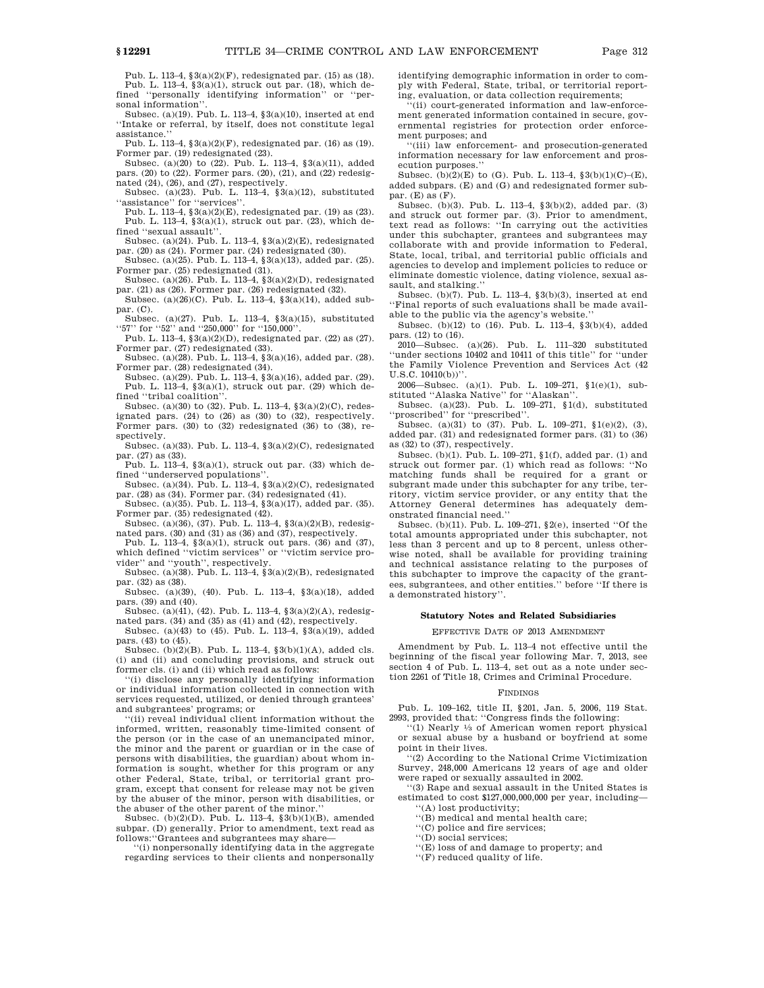Pub. L. 113–4, §3(a)(2)(F), redesignated par. (15) as (18). Pub. L. 113–4, §3(a)(1), struck out par. (18), which defined ''personally identifying information'' or ''per-

sonal information' Subsec. (a)(19). Pub. L. 113–4, §3(a)(10), inserted at end ''Intake or referral, by itself, does not constitute legal assistance.''

Pub. L. 113–4, §3(a)(2)(F), redesignated par. (16) as (19). Former par. (19) redesignated (23).

Subsec. (a)(20) to (22). Pub. L. 113–4, §3(a)(11), added pars. (20) to (22). Former pars. (20), (21), and (22) redesignated (24), (26), and (27), respectively.

Subsec. (a)(23). Pub. L. 113–4, §3(a)(12), substituted ''assistance'' for ''services''.

Pub. L. 113–4, §3(a)(2)(E), redesignated par. (19) as (23). Pub. L. 113–4, §3(a)(1), struck out par. (23), which defined ''sexual assault''.

Subsec. (a)(24). Pub. L. 113–4,  $\S 3(a)(2)(E)$ , redesignated par.  $(20)$  as  $(24)$ . Former par.  $(24)$  redesignated  $(30)$ .

Subsec. (a)(25). Pub. L. 113–4, §3(a)(13), added par. (25). Former par. (25) redesignated (31).

Subsec. (a)(26). Pub. L. 113–4,  $\S(2)(D)$ , redesignated par. (21) as (26). Former par. (26) redesignated (32).

Subsec. (a)(26)(C). Pub. L. 113–4, §3(a)(14), added subpar. (C).

Subsec. (a)(27). Pub. L. 113–4, §3(a)(15), substituted "57" for "52" and "250,000" for "150,000"

Pub. L. 113–4, §3(a)(2)(D), redesignated par. (22) as (27). Former par. (27) redesignated (33).

Subsec. (a)(28). Pub. L. 113–4, §3(a)(16), added par. (28). Former par. (28) redesignated (34).

Subsec. (a)(29). Pub. L. 113–4, §3(a)(16), added par. (29). Pub. L. 113–4, §3(a)(1), struck out par. (29) which defined ''tribal coalition''.

Subsec. (a)(30) to (32). Pub. L. 113–4, §3(a)(2)(C), redesignated pars.  $(24)$  to  $(26)$  as  $(30)$  to  $(32)$ , respectively. Former pars. (30) to (32) redesignated (36) to (38), re-

spectively. Subsec. (a)(33). Pub. L. 113–4,  $\S 3(a)(2)(C)$ , redesignated par. (27) as (33).

Pub. L. 113–4,  $\S3(a)(1)$ , struck out par. (33) which defined "underserved populations"

Subsec. (a)(34). Pub. L. 113-4,  $\S 3(a)(2)(C)$ , redesignated par. (28) as (34). Former par. (34) redesignated (41).

Subsec. (a)(35). Pub. L. 113–4, §3(a)(17), added par. (35). Former par. (35) redesignated (42).

Subsec. (a)(36), (37). Pub. L. 113–4, §3(a)(2)(B), redesignated pars. (30) and (31) as (36) and (37), respectively.

Pub. L. 113–4, §3(a)(1), struck out pars. (36) and (37), which defined ''victim services'' or ''victim service provider'' and ''youth'', respectively.

Subsec. (a)(38). Pub. L. 113–4, §3(a)(2)(B), redesignated par. (32) as (38).

Subsec. (a)(39), (40). Pub. L. 113–4, §3(a)(18), added pars. (39) and (40).

Subsec. (a)(41), (42). Pub. L. 113–4, §3(a)(2)(A), redesignated pars. (34) and (35) as (41) and (42), respectively.

Subsec. (a)(43) to (45). Pub. L. 113–4, §3(a)(19), added pars. (43) to (45).

Subsec. (b)(2)(B). Pub. L. 113–4, §3(b)(1)(A), added cls. (i) and (ii) and concluding provisions, and struck out former cls. (i) and (ii) which read as follows:

''(i) disclose any personally identifying information or individual information collected in connection with services requested, utilized, or denied through grantees' and subgrantees' programs; or

'(ii) reveal individual client information without the informed, written, reasonably time-limited consent of the person (or in the case of an unemancipated minor, the minor and the parent or guardian or in the case of persons with disabilities, the guardian) about whom information is sought, whether for this program or any other Federal, State, tribal, or territorial grant program, except that consent for release may not be given by the abuser of the minor, person with disabilities, or the abuser of the other parent of the minor.'

Subsec. (b)(2)(D). Pub. L. 113–4, §3(b)(1)(B), amended subpar. (D) generally. Prior to amendment, text read as

follows:''Grantees and subgrantees may share— ''(i) nonpersonally identifying data in the aggregate regarding services to their clients and nonpersonally

identifying demographic information in order to comply with Federal, State, tribal, or territorial reporting, evaluation, or data collection requirements;

'(ii) court-generated information and law-enforcement generated information contained in secure, governmental registries for protection order enforcement purposes; and

''(iii) law enforcement- and prosecution-generated information necessary for law enforcement and prosecution purposes.''

Subsec. (b)(2)(E) to (G). Pub. L. 113-4,  $\S(6)(1)(C)$ –(E), added subpars. (E) and (G) and redesignated former subpar. (E) as (F).

Subsec. (b)(3). Pub. L. 113–4, §3(b)(2), added par. (3) and struck out former par. (3). Prior to amendment, text read as follows: ''In carrying out the activities under this subchapter, grantees and subgrantees may collaborate with and provide information to Federal, State, local, tribal, and territorial public officials and agencies to develop and implement policies to reduce or eliminate domestic violence, dating violence, sexual assault, and stalking.''

Subsec. (b)(7). Pub. L. 113–4, §3(b)(3), inserted at end ''Final reports of such evaluations shall be made available to the public via the agency's website.''

Subsec. (b)(12) to (16). Pub. L. 113–4, §3(b)(4), added pars. (12) to (16).

2010—Subsec. (a)(26). Pub. L. 111–320 substituted ''under sections 10402 and 10411 of this title'' for ''under the Family Violence Prevention and Services Act (42 U.S.C. 10410(b))''.

2006—Subsec. (a)(1). Pub. L. 109–271, §1(e)(1), substituted ''Alaska Native'' for ''Alaskan''.

Subsec. (a)(23). Pub. L. 109–271, §1(d), substituted 'proscribed'' for "prescribed".

Subsec. (a)(31) to (37). Pub. L. 109-271,  $$1(e)(2), (3),$ added par. (31) and redesignated former pars. (31) to (36) as (32) to (37), respectively.

Subsec. (b)(1). Pub. L. 109–271, §1(f), added par. (1) and struck out former par. (1) which read as follows: ''No matching funds shall be required for a grant or subgrant made under this subchapter for any tribe, territory, victim service provider, or any entity that the Attorney General determines has adequately demonstrated financial need.''

Subsec. (b)(11). Pub. L. 109–271, §2(e), inserted ''Of the total amounts appropriated under this subchapter, not less than 3 percent and up to 8 percent, unless otherwise noted, shall be available for providing training and technical assistance relating to the purposes of this subchapter to improve the capacity of the grantees, subgrantees, and other entities.'' before ''If there is a demonstrated history''.

#### **Statutory Notes and Related Subsidiaries**

#### EFFECTIVE DATE OF 2013 AMENDMENT

Amendment by Pub. L. 113–4 not effective until the beginning of the fiscal year following Mar. 7, 2013, see section 4 of Pub. L. 113–4, set out as a note under section 2261 of Title 18, Crimes and Criminal Procedure.

#### FINDINGS

Pub. L. 109–162, title II, §201, Jan. 5, 2006, 119 Stat. 2993, provided that: ''Congress finds the following:

''(1) Nearly 1 ⁄3 of American women report physical or sexual abuse by a husband or boyfriend at some point in their lives.

''(2) According to the National Crime Victimization Survey, 248,000 Americans 12 years of age and older were raped or sexually assaulted in 2002.

''(3) Rape and sexual assault in the United States is estimated to cost \$127,000,000,000 per year, including— ''(A) lost productivity;

''(B) medical and mental health care;

''(C) police and fire services;

''(D) social services;

- ''(E) loss of and damage to property; and
- ''(F) reduced quality of life.